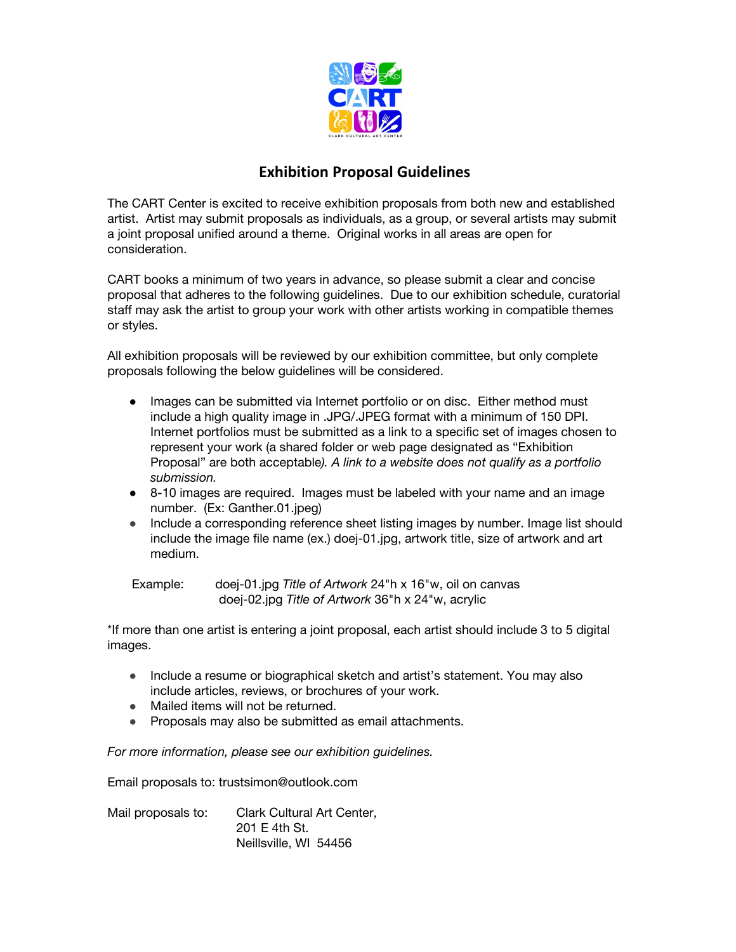

## **Exhibition Proposal Guidelines**

The CART Center is excited to receive exhibition proposals from both new and established artist. Artist may submit proposals as individuals, as a group, or several artists may submit a joint proposal unified around a theme. Original works in all areas are open for consideration.

CART books a minimum of two years in advance, so please submit a clear and concise proposal that adheres to the following guidelines. Due to our exhibition schedule, curatorial staff may ask the artist to group your work with other artists working in compatible themes or styles.

All exhibition proposals will be reviewed by our exhibition committee, but only complete proposals following the below guidelines will be considered.

- Images can be submitted via Internet portfolio or on disc. Either method must include a high quality image in .JPG/.JPEG format with a minimum of 150 DPI. Internet portfolios must be submitted as a link to a specific set of images chosen to represent your work (a shared folder or web page designated as "Exhibition Proposal" are both acceptable*). A link to a website does not qualify as a portfolio submission.*
- 8-10 images are required. Images must be labeled with your name and an image number. (Ex: Ganther.01.jpeg)
- Include a corresponding reference sheet listing images by number. Image list should include the image file name (ex.) doej-01.jpg, artwork title, size of artwork and art medium.

 Example: doej-01.jpg *Title of Artwork* 24"h x 16"w, oil on canvas doej-02.jpg *Title of Artwork* 36"h x 24"w, acrylic

\*If more than one artist is entering a joint proposal, each artist should include 3 to 5 digital images.

- Include a resume or biographical sketch and artist's statement. You may also include articles, reviews, or brochures of your work.
- Mailed items will not be returned.
- Proposals may also be submitted as email attachments.

*For more information, please see our exhibition guidelines.*

Email proposals to: trustsimon@outlook.com

Mail proposals to: Clark Cultural Art Center, 201 E 4th St. Neillsville, WI 54456